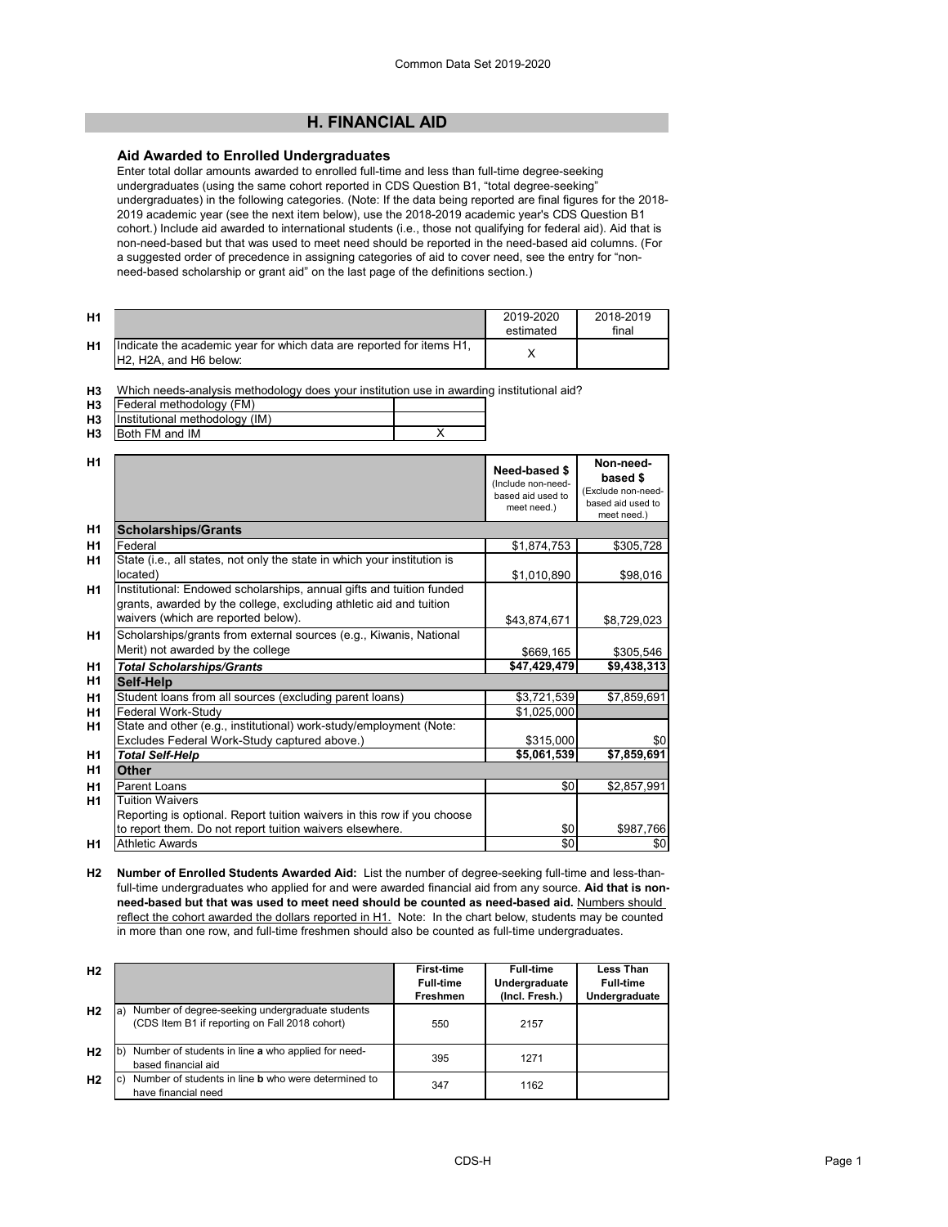# **H. FINANCIAL AID**

### **Aid Awarded to Enrolled Undergraduates**

Enter total dollar amounts awarded to enrolled full-time and less than full-time degree-seeking undergraduates (using the same cohort reported in CDS Question B1, "total degree-seeking" undergraduates) in the following categories. (Note: If the data being reported are final figures for the 2018- 2019 academic year (see the next item below), use the 2018-2019 academic year's CDS Question B1 cohort.) Include aid awarded to international students (i.e., those not qualifying for federal aid). Aid that is non-need-based but that was used to meet need should be reported in the need-based aid columns. (For a suggested order of precedence in assigning categories of aid to cover need, see the entry for "nonneed-based scholarship or grant aid" on the last page of the definitions section.)

| H1 |                                                                                                                                      | 2019-2020<br>estimated | 2018-2019<br>final |
|----|--------------------------------------------------------------------------------------------------------------------------------------|------------------------|--------------------|
| H1 | Indicate the academic year for which data are reported for items H1,<br>H <sub>2</sub> . H <sub>2</sub> A, and H <sub>6</sub> below: |                        |                    |

**H3** Which needs-analysis methodology does your institution use in awarding institutional aid?

| <b>H3</b> | Federal methodology (FM)       |  |
|-----------|--------------------------------|--|
| H3        | Institutional methodology (IM) |  |
| H3        | <b>Both FM and IM</b>          |  |

| H <sub>1</sub> |                                                                                                                                                                                   | Need-based \$<br>(Include non-need-<br>based aid used to<br>meet need.) | Non-need-<br>based \$<br>(Exclude non-need-<br>based aid used to<br>meet need.) |
|----------------|-----------------------------------------------------------------------------------------------------------------------------------------------------------------------------------|-------------------------------------------------------------------------|---------------------------------------------------------------------------------|
| H1             | <b>Scholarships/Grants</b>                                                                                                                                                        |                                                                         |                                                                                 |
| H1             | Federal                                                                                                                                                                           | \$1,874,753                                                             | \$305,728                                                                       |
| <b>H1</b>      | State (i.e., all states, not only the state in which your institution is<br>located)                                                                                              | \$1,010,890                                                             | \$98,016                                                                        |
| H <sub>1</sub> | Institutional: Endowed scholarships, annual gifts and tuition funded<br>grants, awarded by the college, excluding athletic aid and tuition<br>waivers (which are reported below). | \$43,874,671                                                            | \$8,729,023                                                                     |
| <b>H1</b>      | Scholarships/grants from external sources (e.g., Kiwanis, National<br>Merit) not awarded by the college                                                                           | \$669,165                                                               | \$305,546                                                                       |
| H <sub>1</sub> | <b>Total Scholarships/Grants</b>                                                                                                                                                  | \$47,429,479                                                            | \$9,438,313                                                                     |
| H1             | Self-Help                                                                                                                                                                         |                                                                         |                                                                                 |
| H1             | Student loans from all sources (excluding parent loans)                                                                                                                           | \$3,721,539                                                             | \$7,859,691                                                                     |
| H <sub>1</sub> | Federal Work-Study                                                                                                                                                                | \$1,025,000                                                             |                                                                                 |
| H1             | State and other (e.g., institutional) work-study/employment (Note:                                                                                                                |                                                                         |                                                                                 |
|                | Excludes Federal Work-Study captured above.)                                                                                                                                      | \$315,000                                                               | \$0                                                                             |
| H <sub>1</sub> | <b>Total Self-Help</b>                                                                                                                                                            | \$5,061,539                                                             | \$7,859,691                                                                     |
| H1             | <b>Other</b>                                                                                                                                                                      |                                                                         |                                                                                 |
| H <sub>1</sub> | Parent Loans                                                                                                                                                                      | \$0                                                                     | \$2,857,991                                                                     |
| H <sub>1</sub> | <b>Tuition Waivers</b>                                                                                                                                                            |                                                                         |                                                                                 |
|                | Reporting is optional. Report tuition waivers in this row if you choose                                                                                                           |                                                                         |                                                                                 |
|                | to report them. Do not report tuition waivers elsewhere.                                                                                                                          | \$0                                                                     | \$987,766                                                                       |
| H1             | <b>Athletic Awards</b>                                                                                                                                                            | \$0                                                                     | \$0                                                                             |

**H2 Number of Enrolled Students Awarded Aid:** List the number of degree-seeking full-time and less-thanfull-time undergraduates who applied for and were awarded financial aid from any source. **Aid that is nonneed-based but that was used to meet need should be counted as need-based aid.** Numbers should reflect the cohort awarded the dollars reported in H1. Note: In the chart below, students may be counted in more than one row, and full-time freshmen should also be counted as full-time undergraduates.

| H <sub>2</sub> |                                                                                                          | <b>First-time</b> | <b>Full-time</b> | Less Than        |
|----------------|----------------------------------------------------------------------------------------------------------|-------------------|------------------|------------------|
|                |                                                                                                          | <b>Full-time</b>  | Undergraduate    | <b>Full-time</b> |
|                |                                                                                                          | Freshmen          | (Incl. Fresh.)   | Undergraduate    |
| H <sub>2</sub> | Number of degree-seeking undergraduate students<br>la)<br>(CDS Item B1 if reporting on Fall 2018 cohort) | 550               | 2157             |                  |
| H <sub>2</sub> | Number of students in line a who applied for need-<br>lb)<br>based financial aid                         | 395               | 1271             |                  |
| H <sub>2</sub> | Number of students in line <b>b</b> who were determined to<br>lc)<br>have financial need                 | 347               | 1162             |                  |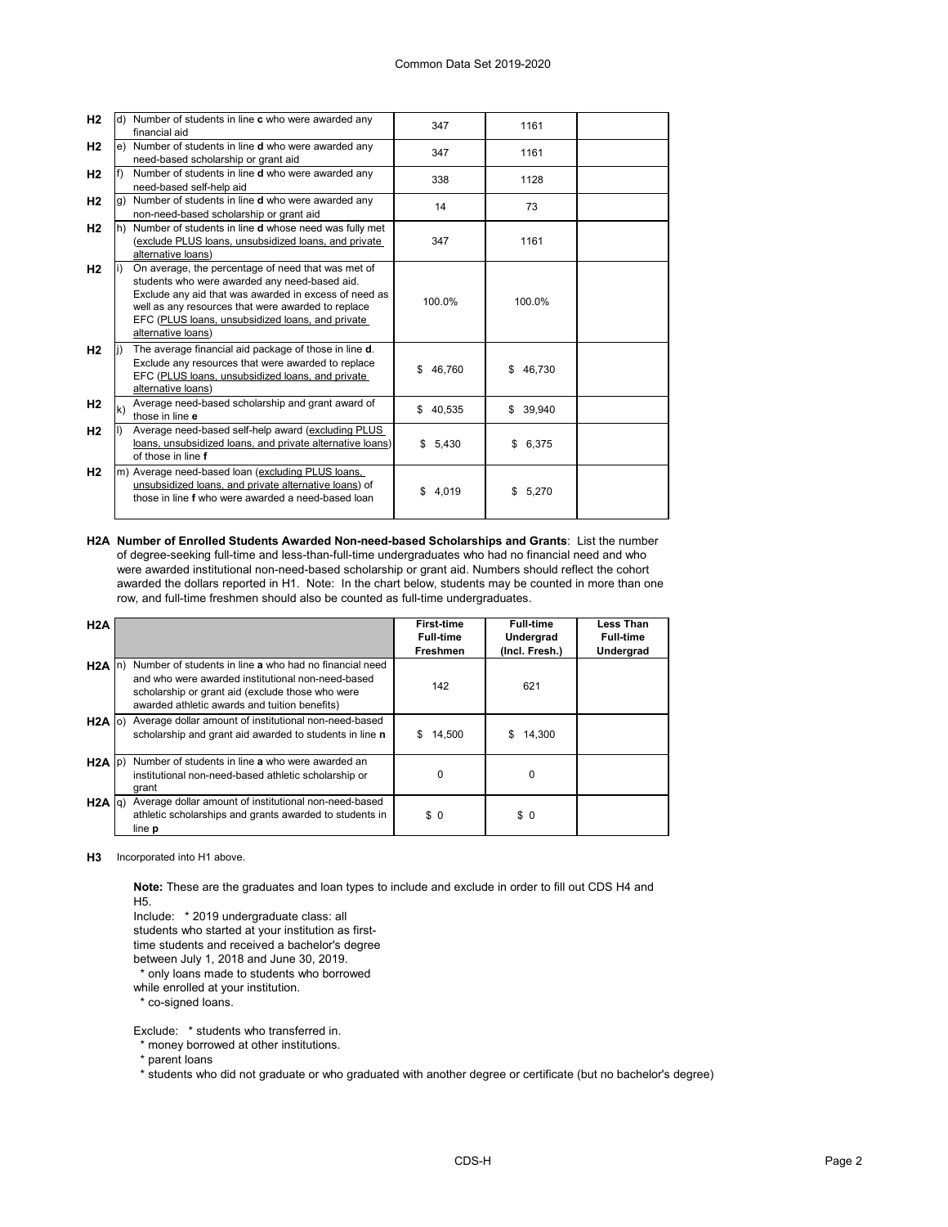| H <sub>2</sub> |    | d) Number of students in line c who were awarded any<br>financial aid                                                                                                                                                                                                                        | 347          | 1161         |  |
|----------------|----|----------------------------------------------------------------------------------------------------------------------------------------------------------------------------------------------------------------------------------------------------------------------------------------------|--------------|--------------|--|
| H <sub>2</sub> | e) | Number of students in line <b>d</b> who were awarded any<br>need-based scholarship or grant aid                                                                                                                                                                                              | 347          | 1161         |  |
| H <sub>2</sub> |    | Number of students in line <b>d</b> who were awarded any<br>need-based self-help aid                                                                                                                                                                                                         | 338          | 1128         |  |
| H <sub>2</sub> | g) | Number of students in line <b>d</b> who were awarded any<br>non-need-based scholarship or grant aid                                                                                                                                                                                          | 14           | 73           |  |
| H <sub>2</sub> | h) | Number of students in line d whose need was fully met<br>(exclude PLUS loans, unsubsidized loans, and private<br>alternative loans)                                                                                                                                                          | 347          | 1161         |  |
| H <sub>2</sub> |    | On average, the percentage of need that was met of<br>students who were awarded any need-based aid.<br>Exclude any aid that was awarded in excess of need as<br>well as any resources that were awarded to replace<br>EFC (PLUS loans, unsubsidized loans, and private<br>alternative loans) | 100.0%       | 100.0%       |  |
| H <sub>2</sub> |    | The average financial aid package of those in line d.<br>Exclude any resources that were awarded to replace<br>EFC (PLUS loans, unsubsidized loans, and private<br>alternative loans)                                                                                                        | 46,760<br>\$ | 46,730<br>\$ |  |
| H2             | k) | Average need-based scholarship and grant award of<br>those in line e                                                                                                                                                                                                                         | 40,535<br>\$ | \$39,940     |  |
| H <sub>2</sub> |    | Average need-based self-help award (excluding PLUS<br>loans, unsubsidized loans, and private alternative loans)<br>of those in line f                                                                                                                                                        | \$5,430      | 6,375<br>\$  |  |
| H <sub>2</sub> | m) | Average need-based loan (excluding PLUS loans,<br>unsubsidized loans, and private alternative loans) of<br>those in line f who were awarded a need-based loan                                                                                                                                | \$<br>4,019  | 5,270<br>\$  |  |

**H2A Number of Enrolled Students Awarded Non-need-based Scholarships and Grants**: List the number of degree-seeking full-time and less-than-full-time undergraduates who had no financial need and who were awarded institutional non-need-based scholarship or grant aid. Numbers should reflect the cohort awarded the dollars reported in H1. Note: In the chart below, students may be counted in more than one row, and full-time freshmen should also be counted as full-time undergraduates.

| H2A               |                                                                           | <b>First-time</b> | <b>Full-time</b> | <b>Less Than</b> |
|-------------------|---------------------------------------------------------------------------|-------------------|------------------|------------------|
|                   |                                                                           | <b>Full-time</b>  | Undergrad        | <b>Full-time</b> |
|                   |                                                                           | Freshmen          | (Incl. Fresh.)   | Undergrad        |
| $H2A \ln b$       | Number of students in line a who had no financial need                    |                   |                  |                  |
|                   | and who were awarded institutional non-need-based                         | 142               | 621              |                  |
|                   | scholarship or grant aid (exclude those who were                          |                   |                  |                  |
|                   | awarded athletic awards and tuition benefits)                             |                   |                  |                  |
|                   | H <sub>2</sub> A o) Average dollar amount of institutional non-need-based |                   |                  |                  |
|                   | scholarship and grant aid awarded to students in line n                   | 14,500<br>S       | 14,300<br>S      |                  |
|                   |                                                                           |                   |                  |                  |
| $H2A$ $ p\rangle$ | Number of students in line a who were awarded an                          |                   |                  |                  |
|                   | institutional non-need-based athletic scholarship or                      | $\Omega$          | 0                |                  |
|                   | grant                                                                     |                   |                  |                  |
| $H2A$ $q$ )       | Average dollar amount of institutional non-need-based                     |                   |                  |                  |
|                   | athletic scholarships and grants awarded to students in                   | \$0               | \$0              |                  |
|                   | line <b>p</b>                                                             |                   |                  |                  |

**H3** Incorporated into H1 above.

**Note:** These are the graduates and loan types to include and exclude in order to fill out CDS H4 and H5.

Include: \* 2019 undergraduate class: all

students who started at your institution as first-

time students and received a bachelor's degree

between July 1, 2018 and June 30, 2019.

\* only loans made to students who borrowed

while enrolled at your institution.

\* co-signed loans.

Exclude: \* students who transferred in.

\* money borrowed at other institutions.

\* parent loans

\* students who did not graduate or who graduated with another degree or certificate (but no bachelor's degree)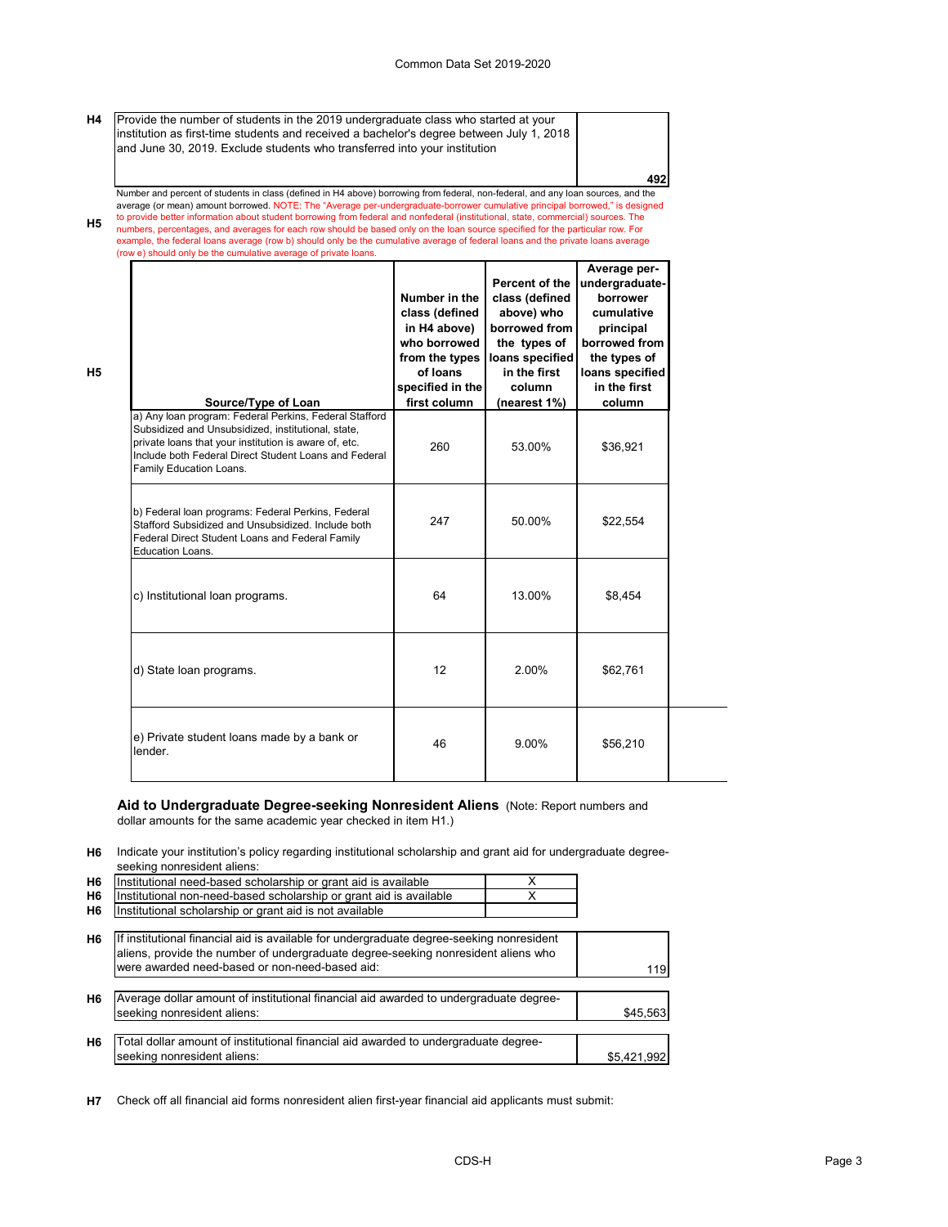**492**

**H4** Provide the number of students in the 2019 undergraduate class who started at your institution as first-time students and received a bachelor's degree between July 1, 2018 and June 30, 2019. Exclude students who transferred into your institution

**H5** Number and percent of students in class (defined in H4 above) borrowing from federal, non-federal, and any loan sources, and the average (or mean) amount borrowed. NOTE: The "Average per-undergraduate-borrower cumulative principal borrowed," is designed<br>to provide better information about student borrowing from federal and nonfederal (institutional, numbers, percentages, and averages for each row should be based only on the loan source specified for the particular row. For example, the federal loans average (row b) should only be the cumulative average of federal loans and the private loans average (row e) should only be the cumulative average of private loans.

| Source/Type of Loan                                                                                                                                                                                                                                       | Number in the<br>class (defined<br>in H4 above)<br>who borrowed<br>from the types<br>of loans<br>specified in the<br>first column | Percent of the<br>class (defined<br>above) who<br>borrowed from<br>the types of<br>loans specified<br>in the first<br>column<br>(nearest 1%) | Average per-<br>undergraduate-<br>borrower<br>cumulative<br>principal<br>borrowed from<br>the types of<br>loans specified<br>in the first<br>column |
|-----------------------------------------------------------------------------------------------------------------------------------------------------------------------------------------------------------------------------------------------------------|-----------------------------------------------------------------------------------------------------------------------------------|----------------------------------------------------------------------------------------------------------------------------------------------|-----------------------------------------------------------------------------------------------------------------------------------------------------|
| a) Any loan program: Federal Perkins, Federal Stafford<br>Subsidized and Unsubsidized, institutional, state,<br>private loans that your institution is aware of, etc.<br>Include both Federal Direct Student Loans and Federal<br>Family Education Loans. | 260                                                                                                                               | 53.00%                                                                                                                                       | \$36,921                                                                                                                                            |
| b) Federal loan programs: Federal Perkins, Federal<br>Stafford Subsidized and Unsubsidized. Include both<br>Federal Direct Student Loans and Federal Family<br><b>Education Loans.</b>                                                                    | 247                                                                                                                               | 50.00%                                                                                                                                       | \$22,554                                                                                                                                            |
| c) Institutional loan programs.                                                                                                                                                                                                                           | 64                                                                                                                                | 13.00%                                                                                                                                       | \$8,454                                                                                                                                             |
| d) State loan programs.                                                                                                                                                                                                                                   | 12                                                                                                                                | 2.00%                                                                                                                                        | \$62,761                                                                                                                                            |
| e) Private student loans made by a bank or<br>lender.                                                                                                                                                                                                     | 46                                                                                                                                | 9.00%                                                                                                                                        | \$56,210                                                                                                                                            |

# **Aid to Undergraduate Degree-seeking Nonresident Aliens** (Note: Report numbers and

dollar amounts for the same academic year checked in item H1.)

**H5**

**H6** Indicate your institution's policy regarding institutional scholarship and grant aid for undergraduate degreeseeking nonresident aliens:

| H <sub>6</sub> | Institutional need-based scholarship or grant aid is available                                                                                                                                                                  | x |             |
|----------------|---------------------------------------------------------------------------------------------------------------------------------------------------------------------------------------------------------------------------------|---|-------------|
| H6             | Institutional non-need-based scholarship or grant aid is available                                                                                                                                                              |   |             |
| H6             | Institutional scholarship or grant aid is not available                                                                                                                                                                         |   |             |
| H <sub>6</sub> | If institutional financial aid is available for undergraduate degree-seeking nonresident<br>aliens, provide the number of undergraduate degree-seeking nonresident aliens who<br>were awarded need-based or non-need-based aid: |   | 119         |
| H <sub>6</sub> | Average dollar amount of institutional financial aid awarded to undergraduate degree-<br>seeking nonresident aliens:                                                                                                            |   | \$45.563    |
| H6             | Total dollar amount of institutional financial aid awarded to undergraduate degree-<br>seeking nonresident aliens:                                                                                                              |   | \$5,421,992 |

**H7** Check off all financial aid forms nonresident alien first-year financial aid applicants must submit: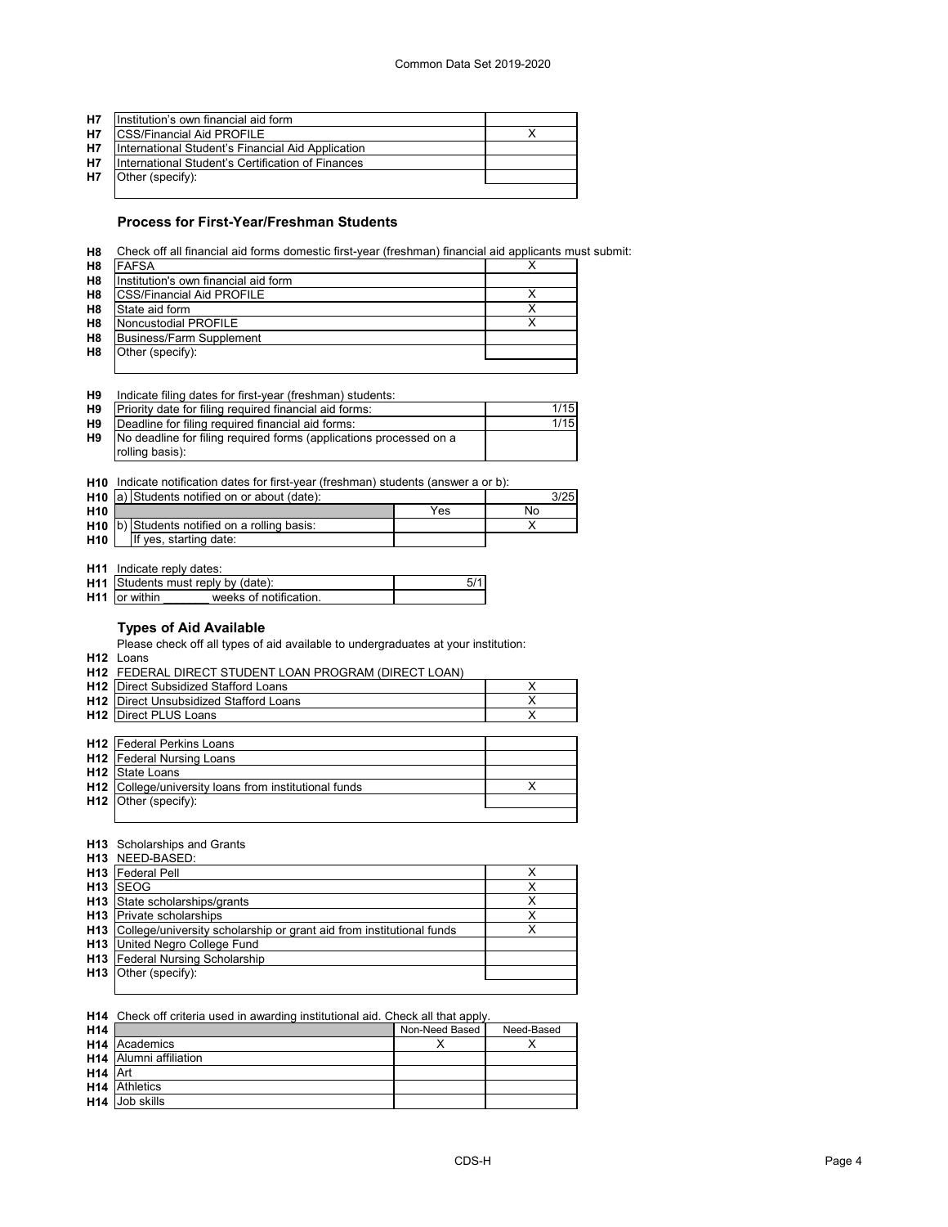| <b>H7</b> | Institution's own financial aid form              |  |
|-----------|---------------------------------------------------|--|
| <b>H7</b> | <b>ICSS/Financial Aid PROFILE</b>                 |  |
| <b>H7</b> | International Student's Financial Aid Application |  |
| <b>H7</b> | International Student's Certification of Finances |  |
| <b>H7</b> | Other (specify):                                  |  |
|           |                                                   |  |

### **Process for First-Year/Freshman Students**

**H8** Check off all financial aid forms domestic first-year (freshman) financial aid applicants must submit:

| H8             | <b>FAFSA</b>                         |  |
|----------------|--------------------------------------|--|
| H <sub>8</sub> | Institution's own financial aid form |  |
| H <sub>8</sub> | <b>ICSS/Financial Aid PROFILE</b>    |  |
| H <sub>8</sub> | State aid form                       |  |
| H <sub>8</sub> | Noncustodial PROFILE                 |  |
| H <sub>8</sub> | <b>Business/Farm Supplement</b>      |  |
| H <sub>8</sub> | Other (specify):                     |  |
|                |                                      |  |

| Η9 | Indicate filing dates for first-year (freshman) students:        |      |
|----|------------------------------------------------------------------|------|
|    | <b>H9</b> Priority date for filing required financial aid forms: | 1/15 |
|    | <b>H9 IDeadline for filing required financial aid forms:</b>     | 1/15 |

| H9 | Deadline for filing required financial aid forms:                                        | 1/15 |
|----|------------------------------------------------------------------------------------------|------|
|    | H9 No deadline for filing required forms (applications processed on a<br>rolling basis): |      |
|    |                                                                                          |      |

|  |  | <b>H10</b> Indicate notification dates for first-year (freshman) students (answer a or b): |  |  |
|--|--|--------------------------------------------------------------------------------------------|--|--|
|--|--|--------------------------------------------------------------------------------------------|--|--|

|                 | H <sub>10</sub> a) Students notified on or about (date): |     | 3/25 |
|-----------------|----------------------------------------------------------|-----|------|
| H <sub>10</sub> |                                                          | Yes | No   |
|                 | H <sub>10</sub> b) Students notified on a rolling basis: |     |      |
| H <sub>10</sub> | If yes, starting date:                                   |     |      |

**H11** Indicate reply dates:

| <b>H11</b> Students must reply by (date): |                       |  |
|-------------------------------------------|-----------------------|--|
| <b>H11</b> or within                      | weeks of notification |  |
|                                           |                       |  |

## **Types of Aid Available**

Please check off all types of aid available to undergraduates at your institution:

**H12** Loans

| H12 FEDERAL DIRECT STUDENT LOAN PROGRAM (DIRECT LOAN)        |   |
|--------------------------------------------------------------|---|
| <b>H12</b> Direct Subsidized Stafford Loans                  | х |
| <b>H12</b> Direct Unsubsidized Stafford Loans                | Χ |
| <b>H12</b> Direct PLUS Loans                                 | x |
|                                                              |   |
| <b>H12</b> Federal Perkins Loans                             |   |
| <b>H12</b> Federal Nursing Loans                             |   |
| <b>H12</b> State Loans                                       |   |
| <b>H12</b> College/university loans from institutional funds |   |
| $H12$ Other (specify):                                       |   |
|                                                              |   |

#### **H13** Scholarships and Grants

|                 | <b>H13</b> NEED-BASED:                                                   |   |
|-----------------|--------------------------------------------------------------------------|---|
| H <sub>13</sub> | Federal Pell                                                             |   |
| H13             | <b>ISEOG</b>                                                             |   |
| H <sub>13</sub> | State scholarships/grants                                                |   |
|                 | <b>H13</b> Private scholarships                                          | х |
|                 | H13 College/university scholarship or grant aid from institutional funds |   |
|                 | <b>H13</b> United Negro College Fund                                     |   |
| H13             | Federal Nursing Scholarship                                              |   |
|                 | H13 Other (specify):                                                     |   |
|                 |                                                                          |   |

#### **H14** Check off criteria used in awarding institutional aid. Check all that apply.

| H <sub>14</sub>     |                                    | Non-Need Based | Need-Based |
|---------------------|------------------------------------|----------------|------------|
|                     | <b>H14</b> Academics               |                |            |
|                     | H <sub>14</sub> Alumni affiliation |                |            |
| H <sub>14</sub> Art |                                    |                |            |
|                     | <b>H14</b> Athletics               |                |            |
|                     | <b>H14</b> Job skills              |                |            |